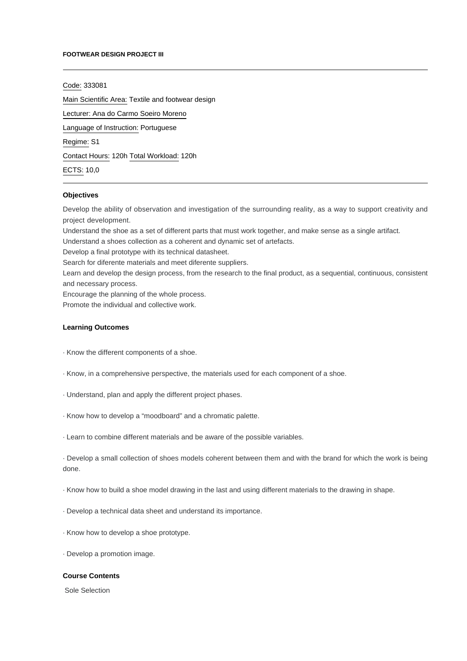#### **FOOTWEAR DESIGN PROJECT III**

Code: 333081

Main Scientific Area: Textile and footwear design

Lecturer: [Ana do Carmo Soeiro Moreno](mailto:amoreno@ipca.pt)

Language of Instruction: Portuguese

Regime: S1

Contact Hours: 120h Total Workload: 120h

ECTS: 10,0

# **Objectives**

Develop the ability of observation and investigation of the surrounding reality, as a way to support creativity and project development.

Understand the shoe as a set of different parts that must work together, and make sense as a single artifact.

Understand a shoes collection as a coherent and dynamic set of artefacts.

Develop a final prototype with its technical datasheet.

Search for diferente materials and meet diferente suppliers.

Learn and develop the design process, from the research to the final product, as a sequential, continuous, consistent and necessary process.

Encourage the planning of the whole process.

Promote the individual and collective work.

### **Learning Outcomes**

· Know the different components of a shoe.

- · Know, in a comprehensive perspective, the materials used for each component of a shoe.
- · Understand, plan and apply the different project phases.
- · Know how to develop a "moodboard" and a chromatic palette.
- · Learn to combine different materials and be aware of the possible variables.

· Develop a small collection of shoes models coherent between them and with the brand for which the work is being done.

- · Know how to build a shoe model drawing in the last and using different materials to the drawing in shape.
- · Develop a technical data sheet and understand its importance.
- · Know how to develop a shoe prototype.
- · Develop a promotion image.

## **Course Contents**

Sole Selection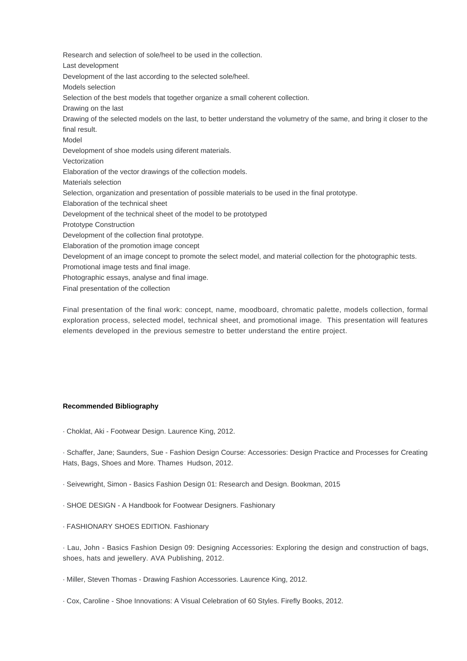Research and selection of sole/heel to be used in the collection. Last development Development of the last according to the selected sole/heel. Models selection Selection of the best models that together organize a small coherent collection. Drawing on the last Drawing of the selected models on the last, to better understand the volumetry of the same, and bring it closer to the final result. Model Development of shoe models using diferent materials. Vectorization Elaboration of the vector drawings of the collection models. Materials selection Selection, organization and presentation of possible materials to be used in the final prototype. Elaboration of the technical sheet Development of the technical sheet of the model to be prototyped Prototype Construction Development of the collection final prototype. Elaboration of the promotion image concept Development of an image concept to promote the select model, and material collection for the photographic tests. Promotional image tests and final image. Photographic essays, analyse and final image.

Final presentation of the collection

Final presentation of the final work: concept, name, moodboard, chromatic palette, models collection, formal exploration process, selected model, technical sheet, and promotional image. This presentation will features elements developed in the previous semestre to better understand the entire project.

# **Recommended Bibliography**

· Choklat, Aki - Footwear Design. Laurence King, 2012.

· Schaffer, Jane; Saunders, Sue - Fashion Design Course: Accessories: Design Practice and Processes for Creating Hats, Bags, Shoes and More. Thames Hudson, 2012.

- · Seivewright, Simon Basics Fashion Design 01: Research and Design. Bookman, 2015
- · SHOE DESIGN A Handbook for Footwear Designers. Fashionary
- · FASHIONARY SHOES EDITION. Fashionary

· Lau, John - Basics Fashion Design 09: Designing Accessories: Exploring the design and construction of bags, shoes, hats and jewellery. AVA Publishing, 2012.

· Miller, Steven Thomas - Drawing Fashion Accessories. Laurence King, 2012.

· Cox, Caroline - Shoe Innovations: A Visual Celebration of 60 Styles. Firefly Books, 2012.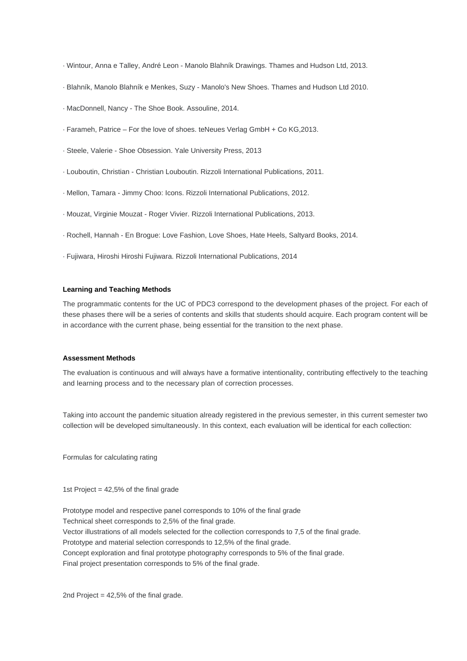· Wintour, Anna e Talley, André Leon - Manolo Blahník Drawings. Thames and Hudson Ltd, 2013.

- · Blahník, Manolo Blahník e Menkes, Suzy Manolo's New Shoes. Thames and Hudson Ltd 2010.
- · MacDonnell, Nancy The Shoe Book. Assouline, 2014.
- · Farameh, Patrice For the love of shoes. teNeues Verlag GmbH + Co KG,2013.
- · Steele, Valerie Shoe Obsession. Yale University Press, 2013
- · Louboutin, Christian Christian Louboutin. Rizzoli International Publications, 2011.
- · Mellon, Tamara Jimmy Choo: Icons. Rizzoli International Publications, 2012.
- · Mouzat, Virginie Mouzat Roger Vivier. Rizzoli International Publications, 2013.
- · Rochell, Hannah En Brogue: Love Fashion, Love Shoes, Hate Heels, Saltyard Books, 2014.
- · Fujiwara, Hiroshi Hiroshi Fujiwara. Rizzoli International Publications, 2014

#### **Learning and Teaching Methods**

The programmatic contents for the UC of PDC3 correspond to the development phases of the project. For each of these phases there will be a series of contents and skills that students should acquire. Each program content will be in accordance with the current phase, being essential for the transition to the next phase.

# **Assessment Methods**

The evaluation is continuous and will always have a formative intentionality, contributing effectively to the teaching and learning process and to the necessary plan of correction processes.

Taking into account the pandemic situation already registered in the previous semester, in this current semester two collection will be developed simultaneously. In this context, each evaluation will be identical for each collection:

Formulas for calculating rating

1st Project = 42,5% of the final grade

Prototype model and respective panel corresponds to 10% of the final grade Technical sheet corresponds to 2,5% of the final grade. Vector illustrations of all models selected for the collection corresponds to 7,5 of the final grade. Prototype and material selection corresponds to 12,5% of the final grade. Concept exploration and final prototype photography corresponds to 5% of the final grade. Final project presentation corresponds to 5% of the final grade.

2nd Project = 42,5% of the final grade.